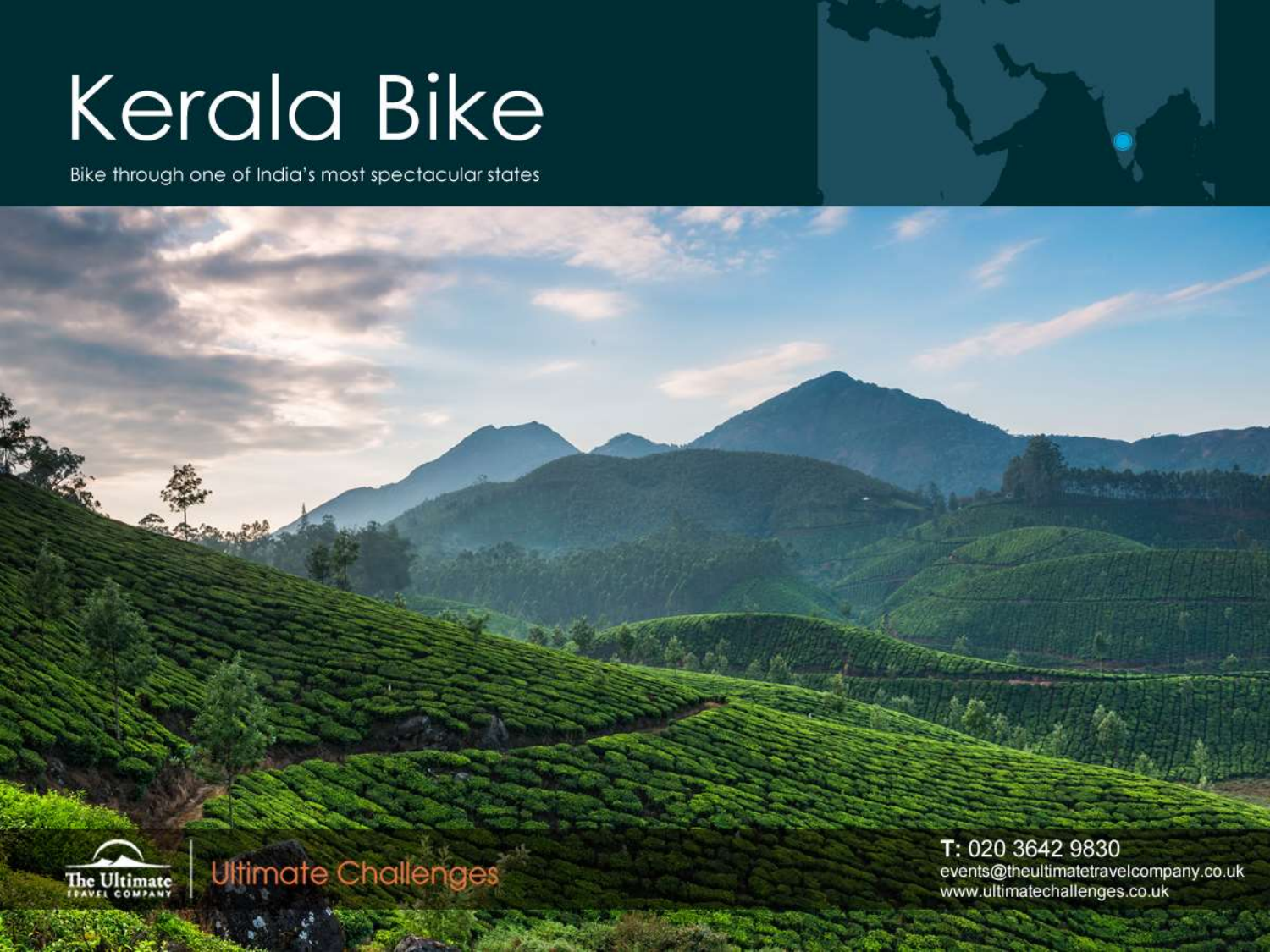# **Kerala Bike**

Bike through one of India's most spectacular states





**Ultimate Challenges** 

T: 020 3642 9830 events@theultimatetravelcompany.co.uk www.ultimatechallenges.co.uk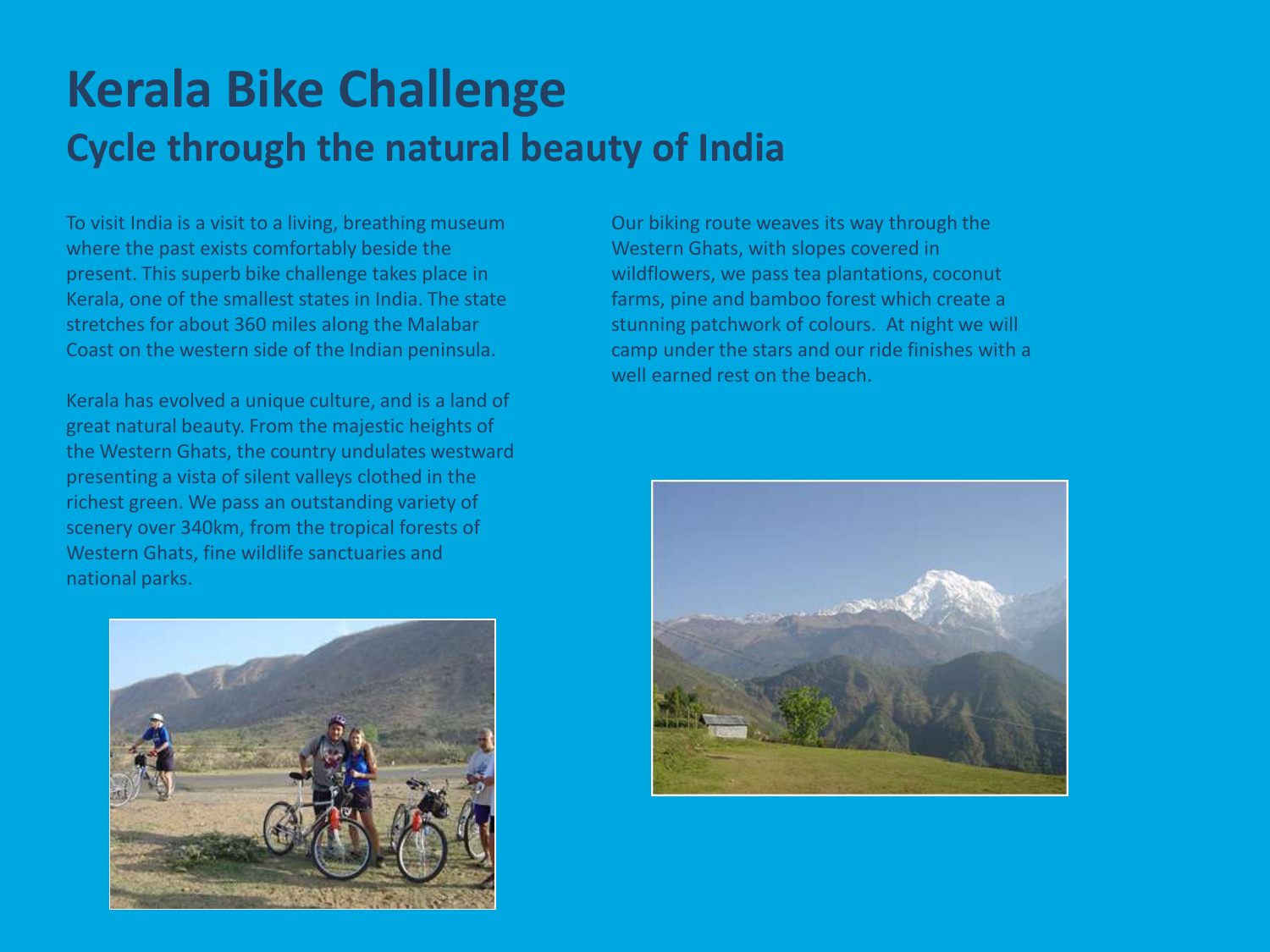## **Kerala Bike Challenge Cycle through the natural beauty of India**

To visit India is a visit to a living, breathing museum where the past exists comfortably beside the present. This superb bike challenge takes place in Kerala, one of the smallest states in India. The state stretches for about 360 miles along the Malabar Coast on the western side of the Indian peninsula.

Kerala has evolved a unique culture, and is a land of great natural beauty. From the majestic heights of the Western Ghats, the country undulates westward presenting a vista of silent valleys clothed in the richest green. We pass an outstanding variety of scenery over 340km, from the tropical forests of Western Ghats, fine wildlife sanctuaries and national parks.



Our biking route weaves its way through the Western Ghats, with slopes covered in wildflowers, we pass tea plantations, coconut farms, pine and bamboo forest which create a stunning patchwork of colours. At night we will camp under the stars and our ride finishes with a well earned rest on the beach.

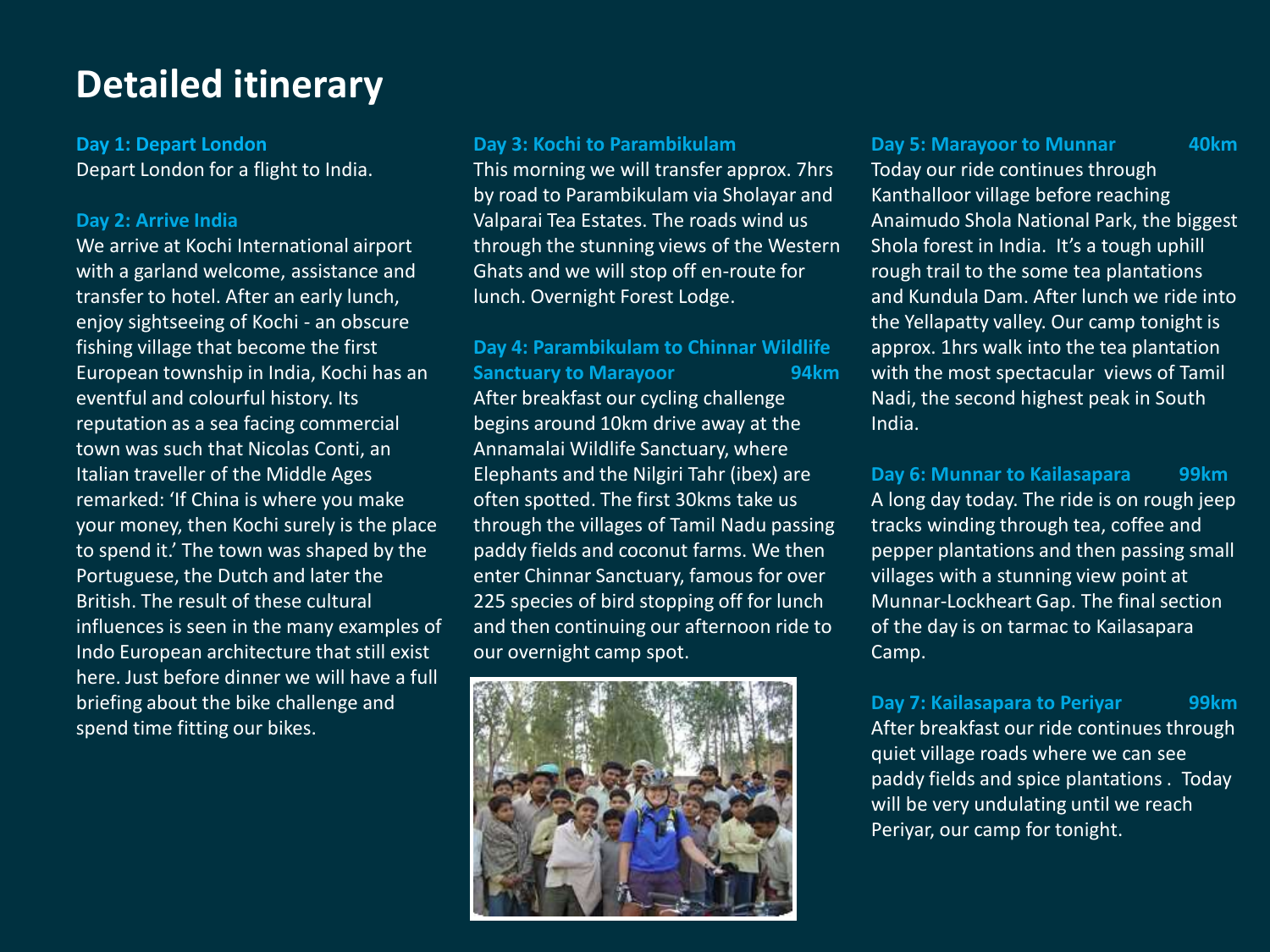### **Detailed itinerary**

**Day 1: Depart London** Depart London for a flight to India.

#### **Day 2: Arrive India**

We arrive at Kochi International airport with a garland welcome, assistance and transfer to hotel. After an early lunch, enjoy sightseeing of Kochi - an obscure fishing village that become the first European township in India, Kochi has an eventful and colourful history. Its reputation as a sea facing commercial town was such that Nicolas Conti, an Italian traveller of the Middle Ages remarked: 'If China is where you make your money, then Kochi surely is the place to spend it.' The town was shaped by the Portuguese, the Dutch and later the British. The result of these cultural influences is seen in the many examples of Indo European architecture that still exist here. Just before dinner we will have a full briefing about the bike challenge and spend time fitting our bikes.

#### **Day 3: Kochi to Parambikulam**

This morning we will transfer approx. 7hrs by road to Parambikulam via Sholayar and Valparai Tea Estates. The roads wind us through the stunning views of the Western Ghats and we will stop off en-route for lunch. Overnight Forest Lodge.

#### **Day 4: Parambikulam to Chinnar Wildlife Sanctuary to Marayoor 64km**

After breakfast our cycling challenge begins around 10km drive away at the Annamalai Wildlife Sanctuary, where Elephants and the Nilgiri Tahr (ibex) are often spotted. The first 30kms take us through the villages of Tamil Nadu passing paddy fields and coconut farms. We then enter Chinnar Sanctuary, famous for over 225 species of bird stopping off for lunch and then continuing our afternoon ride to our overnight camp spot.



#### **Day 5: Marayoor to Munnar 40km**

Today our ride continues through Kanthalloor village before reaching Anaimudo Shola National Park, the biggest Shola forest in India. It's a tough uphill rough trail to the some tea plantations and Kundula Dam. After lunch we ride into the Yellapatty valley. Our camp tonight is approx. 1hrs walk into the tea plantation with the most spectacular views of Tamil Nadi, the second highest peak in South India.

#### **Day 6: Munnar to Kailasapara 99km** A long day today. The ride is on rough jeep tracks winding through tea, coffee and pepper plantations and then passing small villages with a stunning view point at Munnar-Lockheart Gap. The final section of the day is on tarmac to Kailasapara Camp.

**Day 7: Kailasapara to Periyar 99km** After breakfast our ride continues through quiet village roads where we can see paddy fields and spice plantations . Today will be very undulating until we reach Periyar, our camp for tonight.